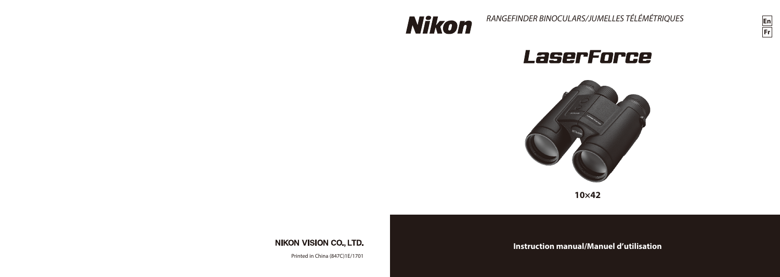

*RANGEFINDER BINOCULARS/JUMELLES TÉLÉMÉTRIQUES*



# LaserForce



**10×42**

**NIKON VISION CO., LTD.** 

Printed in China (847C)1E/1701

**Instruction manual/Manuel d'utilisation**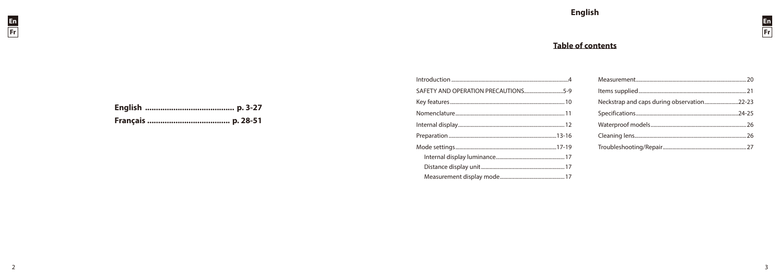

# **Table of contents**

| SAFETY AND OPERATION PRECAUTIONS5-9 |  |
|-------------------------------------|--|
|                                     |  |
|                                     |  |
|                                     |  |
|                                     |  |
|                                     |  |
|                                     |  |
|                                     |  |
|                                     |  |

| Neckstrap and caps during observation22-23 |  |
|--------------------------------------------|--|
|                                            |  |
|                                            |  |
|                                            |  |
|                                            |  |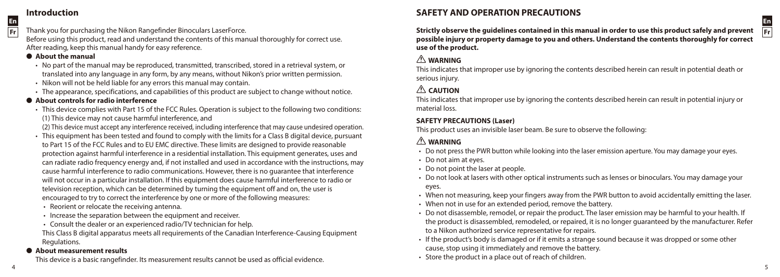# **Introduction**

**En Fr**

Thank you for purchasing the Nikon Rangefinder Binoculars LaserForce.

Before using this product, read and understand the contents of this manual thoroughly for correct use. After reading, keep this manual handy for easy reference.

#### **About the manual**

- • No part of the manual may be reproduced, transmitted, transcribed, stored in a retrieval system, or translated into any language in any form, by any means, without Nikon's prior written permission.
- Nikon will not be held liable for any errors this manual may contain.
- • The appearance, specifications, and capabilities of this product are subject to change without notice.

#### l **About controls for radio interference**

- • This device complies with Part 15 of the FCC Rules. Operation is subject to the following two conditions: (1) This device may not cause harmful interference, and
- (2) This device must accept any interference received, including interference that may cause undesired operation.
- • This equipment has been tested and found to comply with the limits for a Class B digital device, pursuant to Part 15 of the FCC Rules and to EU EMC directive. These limits are designed to provide reasonable protection against harmful interference in a residential installation. This equipment generates, uses and can radiate radio frequency energy and, if not installed and used in accordance with the instructions, may cause harmful interference to radio communications. However, there is no guarantee that interference will not occur in a particular installation. If this equipment does cause harmful interference to radio or television reception, which can be determined by turning the equipment off and on, the user is encouraged to try to correct the interference by one or more of the following measures:
- • Reorient or relocate the receiving antenna.
- Increase the separation between the equipment and receiver.
- Consult the dealer or an experienced radio/TV technician for help.

This Class B digital apparatus meets all requirements of the Canadian Interference-Causing Equipment Regulations.

#### **About measurement results**

This device is a basic rangefinder. Its measurement results cannot be used as official evidence.

# **SAFETY AND OPERATION PRECAUTIONS**

**Strictly observe the guidelines contained in this manual in order to use this product safely and prevent possible injury or property damage to you and others. Understand the contents thoroughly for correct use of the product.**

#### **WARNING**

This indicates that improper use by ignoring the contents described herein can result in potential death or serious injury.

# **A** CAUTION

This indicates that improper use by ignoring the contents described herein can result in potential injury or material loss.

#### **SAFETY PRECAUTIONS (Laser)**

This product uses an invisible laser beam. Be sure to observe the following:

# **WARNING**

- Do not press the PWR button while looking into the laser emission aperture. You may damage your eyes.
- Do not aim at eyes.
- Do not point the laser at people.
- • Do not look at lasers with other optical instruments such as lenses or binoculars. You may damage your eyes.
- • When not measuring, keep your fingers away from the PWR button to avoid accidentally emitting the laser.
- When not in use for an extended period, remove the battery.
- • Do not disassemble, remodel, or repair the product. The laser emission may be harmful to your health. If the product is disassembled, remodeled, or repaired, it is no longer guaranteed by the manufacturer. Refer to a Nikon authorized service representative for repairs.
- • If the product's body is damaged or if it emits a strange sound because it was dropped or some other cause, stop using it immediately and remove the battery.
- Store the product in a place out of reach of children.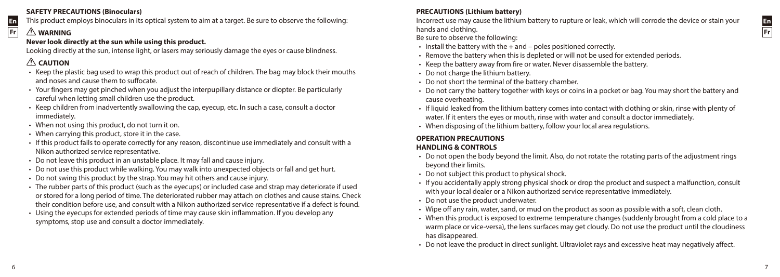#### **SAFETY PRECAUTIONS (Binoculars)**

This product employs binoculars in its optical system to aim at a target. Be sure to observe the following:

# **WARNING**

**En Fr**

# **Never look directly at the sun while using this product.**

Looking directly at the sun, intense light, or lasers may seriously damage the eyes or cause blindness.

# **CAUTION**

- • Keep the plastic bag used to wrap this product out of reach of children. The bag may block their mouths and noses and cause them to suffocate.
- • Your fingers may get pinched when you adjust the interpupillary distance or diopter. Be particularly careful when letting small children use the product.
- • Keep children from inadvertently swallowing the cap, eyecup, etc. In such a case, consult a doctor immediately.
- When not using this product, do not turn it on.
- When carrying this product, store it in the case.
- • If this product fails to operate correctly for any reason, discontinue use immediately and consult with a Nikon authorized service representative.
- Do not leave this product in an unstable place. It may fall and cause injury.
- • Do not use this product while walking. You may walk into unexpected objects or fall and get hurt.
- Do not swing this product by the strap. You may hit others and cause injury.
- • The rubber parts of this product (such as the eyecups) or included case and strap may deteriorate if used or stored for a long period of time. The deteriorated rubber may attach on clothes and cause stains. Check their condition before use, and consult with a Nikon authorized service representative if a defect is found.
- • Using the eyecups for extended periods of time may cause skin inflammation. If you develop any symptoms, stop use and consult a doctor immediately.

# **PRECAUTIONS (Lithium battery)**

Incorrect use may cause the lithium battery to rupture or leak, which will corrode the device or stain your hands and clothing.

Be sure to observe the following:

- $\cdot$  Install the battery with the  $+$  and poles positioned correctly.
- Remove the battery when this is depleted or will not be used for extended periods.
- • Keep the battery away from fire or water. Never disassemble the battery.
- Do not charge the lithium battery.
- Do not short the terminal of the battery chamber.
- Do not carry the battery together with keys or coins in a pocket or bag. You may short the battery and cause overheating.
- • If liquid leaked from the lithium battery comes into contact with clothing or skin, rinse with plenty of water. If it enters the eyes or mouth, rinse with water and consult a doctor immediately.
- When disposing of the lithium battery, follow your local area regulations.

# **OPERATION PRECAUTIONS**

# **HANDLING & CONTROLS**

- • Do not open the body beyond the limit. Also, do not rotate the rotating parts of the adjustment rings beyond their limits.
- Do not subject this product to physical shock.
- • If you accidentally apply strong physical shock or drop the product and suspect a malfunction, consult with your local dealer or a Nikon authorized service representative immediately.
- Do not use the product underwater.
- • Wipe off any rain, water, sand, or mud on the product as soon as possible with a soft, clean cloth.
- • When this product is exposed to extreme temperature changes (suddenly brought from a cold place to a warm place or vice-versa), the lens surfaces may get cloudy. Do not use the product until the cloudiness has disappeared.
- • Do not leave the product in direct sunlight. Ultraviolet rays and excessive heat may negatively affect.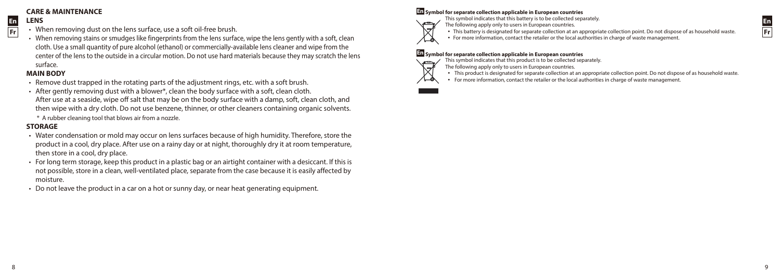#### **CARE & MAINTENANCE**

#### **En LENS**

**Fr**

- When removing dust on the lens surface, use a soft oil-free brush.
- • When removing stains or smudges like fingerprints from the lens surface, wipe the lens gently with a soft, clean cloth. Use a small quantity of pure alcohol (ethanol) or commercially-available lens cleaner and wipe from the center of the lens to the outside in a circular motion. Do not use hard materials because they may scratch the lens surface.

#### **MAIN BODY**

- • Remove dust trapped in the rotating parts of the adjustment rings, etc. with a soft brush.
- $\cdot$  After gently removing dust with a blower\*, clean the body surface with a soft, clean cloth. After use at a seaside, wipe off salt that may be on the body surface with a damp, soft, clean cloth, and then wipe with a dry cloth. Do not use benzene, thinner, or other cleaners containing organic solvents. \* A rubber cleaning tool that blows air from a nozzle.

#### **STORAGE**

8

- • Water condensation or mold may occur on lens surfaces because of high humidity. Therefore, store the product in a cool, dry place. After use on a rainy day or at night, thoroughly dry it at room temperature, then store in a cool, dry place.
- • For long term storage, keep this product in a plastic bag or an airtight container with a desiccant. If this is not possible, store in a clean, well-ventilated place, separate from the case because it is easily affected by moisture.
- • Do not leave the product in a car on a hot or sunny day, or near heat generating equipment.

# **En Symbol for separate collection applicable in European countries** This symbol indicates that this battery is to be collected separately.

- 
- The following apply only to users in European countries.
- • This battery is designated for separate collection at an appropriate collection point. Do not dispose of as household waste.
- • For more information, contact the retailer or the local authorities in charge of waste management.

#### **En Symbol for separate collection applicable in European countries**

- This symbol indicates that this product is to be collected separately.
- The following apply only to users in European countries.
- • This product is designated for separate collection at an appropriate collection point. Do not dispose of as household waste.
- • For more information, contact the retailer or the local authorities in charge of waste management.



ŁЖ



9

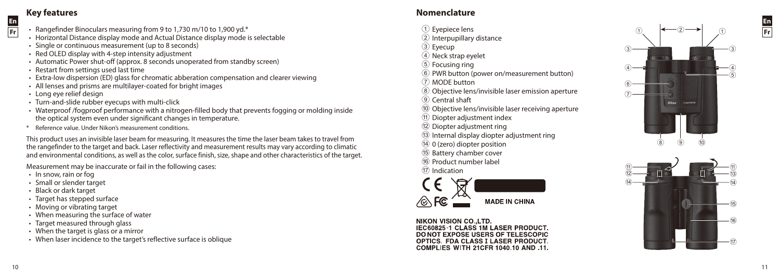# **Key features**

**En Fr**

- Rangefinder Binoculars measuring from 9 to 1,730 m/10 to 1,900 yd.\*
- Horizontal Distance display mode and Actual Distance display mode is selectable
- Single or continuous measurement (up to 8 seconds)
- Red OLED display with 4-step intensity adjustment
- Automatic Power shut-off (approx. 8 seconds unoperated from standby screen)
- Restart from settings used last time
- • Extra-low dispersion (ED) glass for chromatic abberation compensation and clearer viewing
- All lenses and prisms are multilayer-coated for bright images
- Long eye relief design
- Turn-and-slide rubber eyecups with multi-click
- • Waterproof /fogproof performance with a nitrogen-filled body that prevents fogging or molding inside the optical system even under significant changes in temperature.
- \* Reference value. Under Nikon's measurement conditions.

This product uses an invisible laser beam for measuring. It measures the time the laser beam takes to travel from the rangefinder to the target and back. Laser reflectivity and measurement results may vary according to climatic and environmental conditions, as well as the color, surface finish, size, shape and other characteristics of the target.

Measurement may be inaccurate or fail in the following cases:

- In snow, rain or fog
- • Small or slender target
- Black or dark target
- Target has stepped surface
- Moving or vibrating target
- When measuring the surface of water
- Target measured through glass
- When the target is glass or a mirror
- When laser incidence to the target's reflective surface is oblique

# **Nomenclature**

- 1 Eyepiece lens
- 2 Interpupillary distance
- 3 Eyecup
- (4) Neck strap eyelet
- 5 Focusing ring
- 6 PWR button (power on/measurement button)
- 7 MODE button
- 8 Objective lens/invisible laser emission aperture
- $\overline{9}$  Central shaft
- 0 Objective lens/invisible laser receiving aperture
- a Diopter adjustment index
- (12) Diopter adjustment ring
- (3) Internal display diopter adjustment ring
- $(14)$  0 (zero) diopter position
- (15) Battery chamber cover
- (16) Product number label
- (17) Indication



NIKON VISION CO. LTD IEC60825-1 CLASS 1M LASER PRODUCT. DONOT EXPOSE USERS OF TELESCOPIC OPTICS. FDA CLASS I LASER PRODUCT. COMPLIES WITH 21CER 1040 10 AND 11



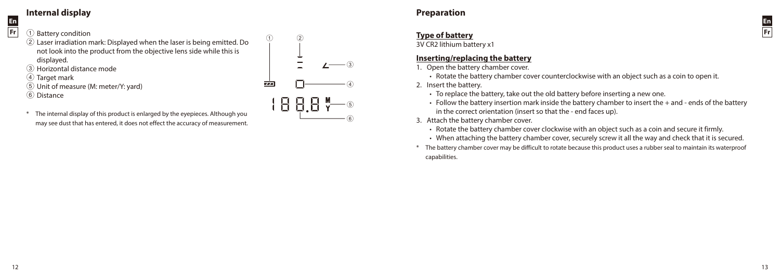# **Internal display**

#### 1 Battery condition

**En Fr**

- 2 Laser irradiation mark: Displayed when the laser is being emitted. Do not look into the product from the objective lens side while this is displayed. 3 Horizontal distance mode
- (4) Target mark
- 5 Unit of measure (M: meter/Y: yard)
- $\overline{6}$  Distance
- \* The internal display of this product is enlarged by the eyepieces. Although you may see dust that has entered, it does not effect the accuracy of measurement.



# **Preparation**

#### **Type of battery**

3V CR2 lithium battery x1

#### **Inserting/replacing the battery**

- 1. Open the battery chamber cover.
	- Rotate the battery chamber cover counterclockwise with an object such as a coin to open it.
- 2. Insert the battery.
	- To replace the battery, take out the old battery before inserting a new one.
	- • Follow the battery insertion mark inside the battery chamber to insert the + and ends of the battery in the correct orientation (insert so that the - end faces up).
- 3. Attach the battery chamber cover.
	- Rotate the battery chamber cover clockwise with an object such as a coin and secure it firmly.
	- • When attaching the battery chamber cover, securely screw it all the way and check that it is secured.
- \* The battery chamber cover may be difficult to rotate because this product uses a rubber seal to maintain its waterproof capabilities.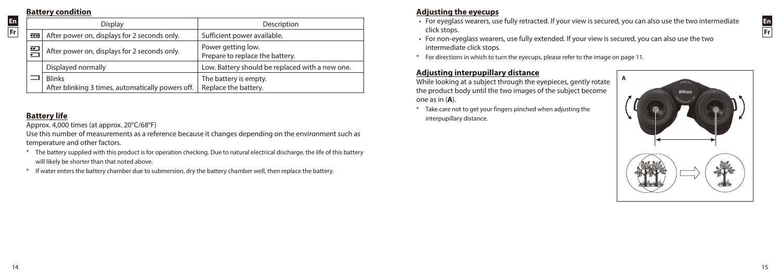#### **Battery condition**

**En Fr**

| Display                                                        |                                                                    | Description                                           |  |
|----------------------------------------------------------------|--------------------------------------------------------------------|-------------------------------------------------------|--|
| After power on, displays for 2 seconds only.<br>$\overline{1}$ |                                                                    | Sufficient power available.                           |  |
| 罒                                                              | After power on, displays for 2 seconds only.                       | Power getting low.<br>Prepare to replace the battery. |  |
|                                                                | Displayed normally                                                 | Low. Battery should be replaced with a new one.       |  |
|                                                                | <b>Blinks</b><br>After blinking 3 times, automatically powers off. | The battery is empty.<br>Replace the battery.         |  |

# **Battery life**

Approx. 4,000 times (at approx. 20°C/68°F)

Use this number of measurements as a reference because it changes depending on the environment such as temperature and other factors.

- \* The battery supplied with this product is for operation checking. Due to natural electrical discharge, the life of this battery will likely be shorter than that noted above.
- \* If water enters the battery chamber due to submersion, dry the battery chamber well, then replace the battery.

# **Adjusting the eyecups**

- • For eyeglass wearers, use fully retracted. If your view is secured, you can also use the two intermediate click stops.
- • For non-eyeglass wearers, use fully extended. If your view is secured, you can also use the two intermediate click stops.
- \* For directions in which to turn the eyecups, please refer to the image on page 11.

# **Adjusting interpupillary distance**

While looking at a subject through the eyepieces, gently rotate the product body until the two images of the subject become one as in (**A**).

\* Take care not to get your fingers pinched when adjusting the interpupillary distance.

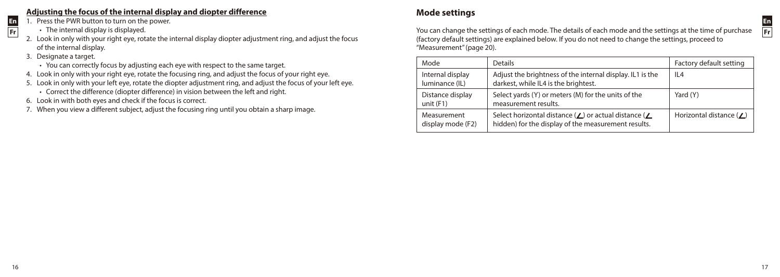# **Adjusting the focus of the internal display and diopter difference**

- 1. Press the PWR button to turn on the power.
	- The internal display is displayed.
- 2. Look in only with your right eye, rotate the internal display diopter adjustment ring, and adjust the focus of the internal display.
- 3. Designate a target.
	- You can correctly focus by adjusting each eye with respect to the same target.
- 4. Look in only with your right eye, rotate the focusing ring, and adjust the focus of your right eye.
- 5. Look in only with your left eye, rotate the diopter adjustment ring, and adjust the focus of your left eye.
	- • Correct the difference (diopter difference) in vision between the left and right.
- 6. Look in with both eyes and check if the focus is correct.
- 7. When you view a different subject, adjust the focusing ring until you obtain a sharp image.

# **Mode settings**

You can change the settings of each mode. The details of each mode and the settings at the time of purchase (factory default settings) are explained below. If you do not need to change the settings, proceed to "Measurement" (page 20).

| Mode                               | <b>Details</b>                                                                                                               | Factory default setting        |
|------------------------------------|------------------------------------------------------------------------------------------------------------------------------|--------------------------------|
| Internal display<br>luminance (IL) | Adjust the brightness of the internal display. IL1 is the<br>darkest, while IL4 is the brightest.                            | IL <sub>4</sub>                |
| Distance display<br>unit $(F1)$    | Select yards (Y) or meters (M) for the units of the<br>measurement results.                                                  | Yard (Y)                       |
| Measurement<br>display mode (F2)   | Select horizontal distance ( $\angle$ ) or actual distance ( $\angle$<br>hidden) for the display of the measurement results. | Horizontal distance $(\angle)$ |

**En Fr**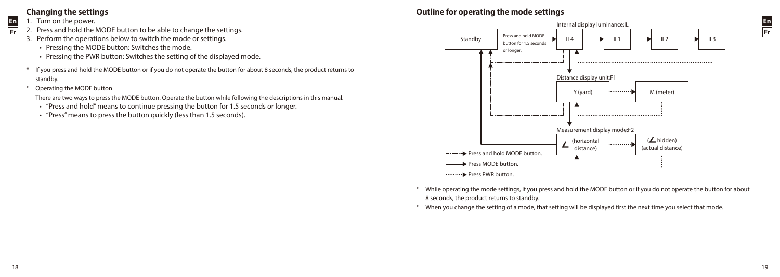# **Changing the settings**

1. Turn on the power.

**En Fr**

- 2. Press and hold the MODE button to be able to change the settings.
- 3. Perform the operations below to switch the mode or settings.
	- Pressing the MODE button: Switches the mode.
	- Pressing the PWR button: Switches the setting of the displayed mode.
- \* If you press and hold the MODE button or if you do not operate the button for about 8 seconds, the product returns to standby.
- \* Operating the MODE button
	- There are two ways to press the MODE button. Operate the button while following the descriptions in this manual.
	- • "Press and hold" means to continue pressing the button for 1.5 seconds or longer.
	- "Press" means to press the button quickly (less than 1.5 seconds).

# **Outline for operating the mode settings**



- While operating the mode settings, if you press and hold the MODE button or if you do not operate the button for about 8 seconds, the product returns to standby.
- When you change the setting of a mode, that setting will be displayed first the next time you select that mode.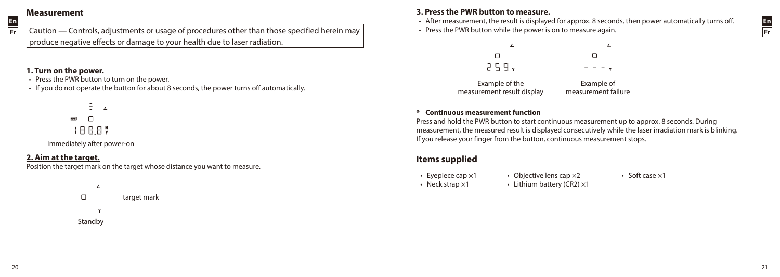# **Measurement**

**En Fr**

Caution — Controls, adjustments or usage of procedures other than those specified herein may produce negative effects or damage to your health due to laser radiation.

#### **1. Turn on the power.**

• Press the PWR button to turn on the power.

• If you do not operate the button for about 8 seconds, the power turns off automatically.

 $\bar{\Xi}$  $\overline{ }$  $\overline{\mathbf{z} \mathbf{z}}$  $\Box$ 188.8%

Immediately after power-on

# **2. Aim at the target.**

Position the target mark on the target whose distance you want to measure.



# **3. Press the PWR button to measure.**

• After measurement, the result is displayed for approx. 8 seconds, then power automatically turns off.

• Press the PWR button while the power is on to measure again.



Example of the measurement result display

Example of measurement failure

#### **\* Continuous measurement function**

Press and hold the PWR button to start continuous measurement up to approx. 8 seconds. During measurement, the measured result is displayed consecutively while the laser irradiation mark is blinking. If you release your finger from the button, continuous measurement stops.

# **Items supplied**

- 
- Evepiece cap  $\times 1$  Objective lens cap  $\times 2$  Soft case  $\times 1$
- Neck strap  $\times$ 1 Lithium battery (CR2)  $\times$ 1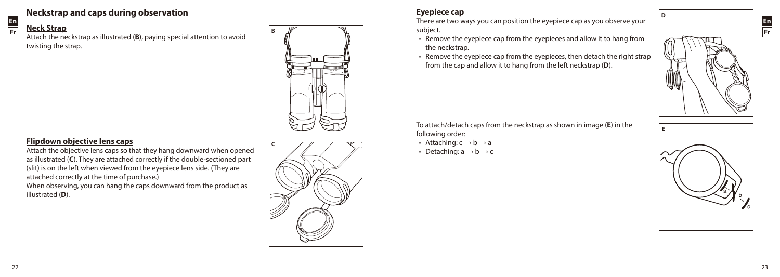# **Neckstrap and caps during observation**

# **Neck Strap**

**En Fr**

Attach the neckstrap as illustrated (**B**), paying special attention to avoid twisting the strap.



# **Flipdown objective lens caps**

Attach the objective lens caps so that they hang downward when opened as illustrated (**C**). They are attached correctly if the double-sectioned part (slit) is on the left when viewed from the eyepiece lens side. (They are attached correctly at the time of purchase.) When observing, you can hang the caps downward from the product as illustrated (**D**).



# **Eyepiece cap**

There are two ways you can position the eyepiece cap as you observe your subject.

- Remove the evepiece cap from the evepieces and allow it to hang from the neckstrap.
- Remove the eyepiece cap from the eyepieces, then detach the right strap from the cap and allow it to hang from the left neckstrap (**D**).



- Attaching:  $c \rightarrow b \rightarrow a$
- Detaching:  $a \rightarrow b \rightarrow c$



**D**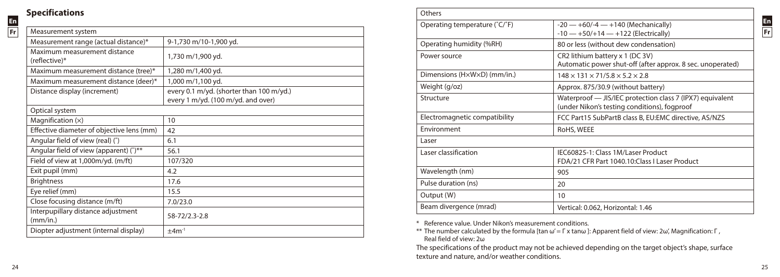# **Specifications**

**En Fr**

| Measurement system                             |                                          |
|------------------------------------------------|------------------------------------------|
| Measurement range (actual distance)*           | 9-1,730 m/10-1,900 yd.                   |
| Maximum measurement distance<br>(reflective)*  | 1,730 m/1,900 yd.                        |
| Maximum measurement distance (tree)*           | 1,280 m/1,400 yd.                        |
| Maximum measurement distance (deer)*           | 1,000 m/1,100 yd.                        |
| Distance display (increment)                   | every 0.1 m/yd. (shorter than 100 m/yd.) |
|                                                | every 1 m/yd. (100 m/yd. and over)       |
| Optical system                                 |                                          |
| Magnification $(x)$                            | 10                                       |
| Effective diameter of objective lens (mm)      | 42                                       |
| Angular field of view (real) (°)               | 6.1                                      |
| Angular field of view (apparent) (°)**         | 56.1                                     |
| Field of view at 1,000m/yd. (m/ft)             | 107/320                                  |
| Exit pupil (mm)                                | 4.2                                      |
| <b>Brightness</b>                              | 17.6                                     |
| Eye relief (mm)                                | 15.5                                     |
| Close focusing distance (m/ft)                 | 7.0/23.0                                 |
| Interpupillary distance adjustment<br>(mm/in.) | 58-72/2.3-2.8                            |
| Diopter adjustment (internal display)          | $±4m-1$                                  |
|                                                |                                          |

| Others                                        |                                                                                                           |  |
|-----------------------------------------------|-----------------------------------------------------------------------------------------------------------|--|
| Operating temperature (°C/°F)                 | $-20 - +60/-4 - +140$ (Mechanically)<br>$-10$ - +50/+14 - +122 (Electrically)                             |  |
| Operating humidity (%RH)                      | 80 or less (without dew condensation)                                                                     |  |
| Power source                                  | CR2 lithium battery x 1 (DC 3V)<br>Automatic power shut-off (after approx. 8 sec. unoperated)             |  |
| Dimensions ( $H \times W \times D$ ) (mm/in.) | $148 \times 131 \times 71/5.8 \times 5.2 \times 2.8$                                                      |  |
| Weight (g/oz)                                 | Approx. 875/30.9 (without battery)                                                                        |  |
| Structure                                     | Waterproof - JIS/IEC protection class 7 (IPX7) equivalent<br>(under Nikon's testing conditions), fogproof |  |
| Electromagnetic compatibility                 | FCC Part15 SubPartB class B, EU:EMC directive, AS/NZS                                                     |  |
| Fnvironment                                   | RoHS, WEEE                                                                                                |  |
| Laser                                         |                                                                                                           |  |
| Laser classification                          | IEC60825-1: Class 1M/Laser Product<br>FDA/21 CFR Part 1040.10: Class I Laser Product                      |  |
| Wavelength (nm)                               | 905                                                                                                       |  |
| Pulse duration (ns)                           | 20                                                                                                        |  |
| Output (W)                                    | 10                                                                                                        |  |
| Beam divergence (mrad)                        | Vertical: 0.062, Horizontal: 1.46                                                                         |  |

\* Reference value. Under Nikon's measurement conditions.

\*\* The number calculated by the formula [tan ω' = Γ x tanω ]: Apparent field of view: 2ω', Magnification: Γ , Real field of view: 2ω

The specifications of the product may not be achieved depending on the target object's shape, surface texture and nature, and/or weather conditions.

24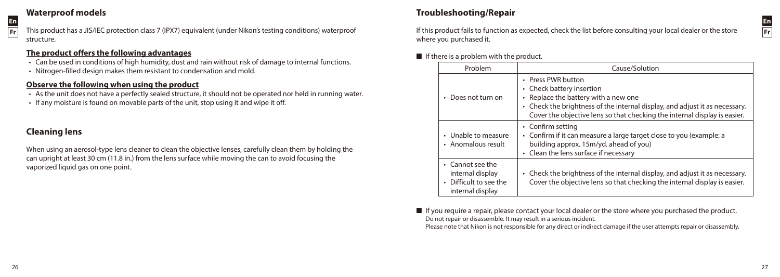# **Waterproof models**



This product has a JIS/IEC protection class 7 (IPX7) equivalent (under Nikon's testing conditions) waterproof structure.

# **The product offers the following advantages**

- • Can be used in conditions of high humidity, dust and rain without risk of damage to internal functions.
- Nitrogen-filled design makes them resistant to condensation and mold.

# **Observe the following when using the product**

- • As the unit does not have a perfectly sealed structure, it should not be operated nor held in running water.
- If any moisture is found on movable parts of the unit, stop using it and wipe it off.

# **Cleaning lens**

When using an aerosol-type lens cleaner to clean the objective lenses, carefully clean them by holding the can upright at least 30 cm (11.8 in.) from the lens surface while moving the can to avoid focusing the vaporized liquid gas on one point.

# **Troubleshooting/Repair**

**En Fr**

If this product fails to function as expected, check the list before consulting your local dealer or the store where you purchased it.

# $\blacksquare$  If there is a problem with the product.

| Problem                                                                            | Cause/Solution                                                                                                                                                                                                                                         |
|------------------------------------------------------------------------------------|--------------------------------------------------------------------------------------------------------------------------------------------------------------------------------------------------------------------------------------------------------|
| Does not turn on                                                                   | • Press PWR button<br>• Check battery insertion<br>Replace the battery with a new one<br>۰<br>• Check the brightness of the internal display, and adjust it as necessary.<br>Cover the objective lens so that checking the internal display is easier. |
| • Unable to measure<br>• Anomalous result                                          | • Confirm setting<br>• Confirm if it can measure a large target close to you (example: a<br>building approx. 15m/yd. ahead of you)<br>• Clean the lens surface if necessary                                                                            |
| • Cannot see the<br>internal display<br>• Difficult to see the<br>internal display | Check the brightness of the internal display, and adjust it as necessary.<br>$\bullet$<br>Cover the objective lens so that checking the internal display is easier.                                                                                    |

 $\blacksquare$  If you require a repair, please contact your local dealer or the store where you purchased the product. Do not repair or disassemble. It may result in a serious incident.

Please note that Nikon is not responsible for any direct or indirect damage if the user attempts repair or disassembly.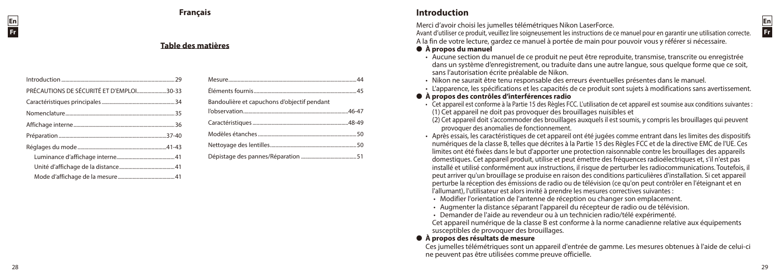#### **Table des matières**

| PRÉCAUTIONS DE SÉCURITÉ ET D'EMPLOI30-33 |  |
|------------------------------------------|--|
|                                          |  |
|                                          |  |
|                                          |  |
|                                          |  |
|                                          |  |
|                                          |  |
|                                          |  |
|                                          |  |

| Bandoulière et capuchons d'objectif pendant |  |
|---------------------------------------------|--|
|                                             |  |
|                                             |  |
|                                             |  |
|                                             |  |
|                                             |  |

# **Introduction**

Merci d'avoir choisi les jumelles télémétriques Nikon LaserForce.

Avant d'utiliser ce produit, veuillez lire soigneusement les instructions de ce manuel pour en garantir une utilisation correcte. A la fin de votre lecture, gardez ce manuel à portée de main pour pouvoir vous y référer si nécessaire.

#### l **À propos du manuel**

- • Aucune section du manuel de ce produit ne peut être reproduite, transmise, transcrite ou enregistrée dans un système d'enregistrement, ou traduite dans une autre langue, sous quelque forme que ce soit, sans l'autorisation écrite préalable de Nikon.
- • Nikon ne saurait être tenu responsable des erreurs éventuelles présentes dans le manuel.
- • L'apparence, les spécifications et les capacités de ce produit sont sujets à modifications sans avertissement.

#### l **À propos des contrôles d'interférences radio**

- • Cet appareil est conforme à la Partie 15 des Règles FCC. L'utilisation de cet appareil est soumise aux conditions suivantes : (1) Cet appareil ne doit pas provoquer des brouillages nuisibles et
- (2) Cet appareil doit s'accommoder des brouillages auxquels il est soumis, y compris les brouillages qui peuvent provoquer des anomalies de fonctionnement.
- • Après essais, les caractéristiques de cet appareil ont été jugées comme entrant dans les limites des dispositifs numériques de la classe B, telles que décrites à la Partie 15 des Règles FCC et de la directive EMC de l'UE. Ces limites ont été fixées dans le but d'apporter une protection raisonnable contre les brouillages des appareils domestiques. Cet appareil produit, utilise et peut émettre des fréquences radioélectriques et, s'il n'est pas installé et utilisé conformément aux instructions, il risque de perturber les radiocommunications. Toutefois, il peut arriver qu'un brouillage se produise en raison des conditions particulières d'installation. Si cet appareil perturbe la réception des émissions de radio ou de télévision (ce qu'on peut contrôler en l'éteignant et en l'allumant), l'utilisateur est alors invité à prendre les mesures correctives suivantes :
- Modifier l'orientation de l'antenne de réception ou changer son emplacement.
- • Augmenter la distance séparant l'appareil du récepteur de radio ou de télévision.
- • Demander de l'aide au revendeur ou à un technicien radio/télé expérimenté.

Cet appareil numérique de la classe B est conforme à la norme canadienne relative aux équipements susceptibles de provoquer des brouillages.

#### l **À propos des résultats de mesure**

Ces jumelles télémétriques sont un appareil d'entrée de gamme. Les mesures obtenues à l'aide de celui-ci ne peuvent pas être utilisées comme preuve officielle.

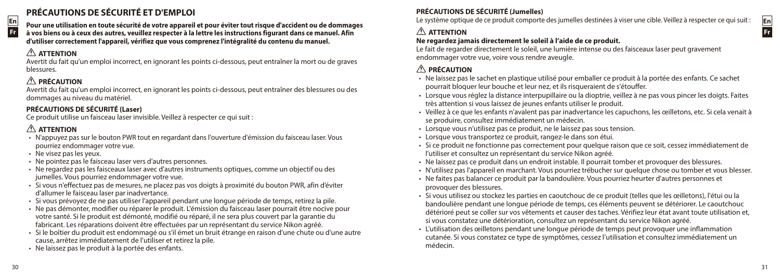# **PRÉCAUTIONS DE SÉCURITÉ ET D'EMPLOI**



**En Fr**

**Pour une utilisation en toute sécurité de votre appareil et pour éviter tout risque d'accident ou de dommages à vos biens ou à ceux des autres, veuillez respecter à la lettre les instructions figurant dans ce manuel. Afin d'utiliser correctement l'appareil, vérifiez que vous comprenez l'intégralité du contenu du manuel.**

# **ATTENTION**

**En Fr**

> Avertit du fait qu'un emploi incorrect, en ignorant les points ci-dessous, peut entraîner la mort ou de graves blessures.

# **PRÉCAUTION**

Avertit du fait qu'un emploi incorrect, en ignorant les points ci-dessous, peut entraîner des blessures ou des dommages au niveau du matériel.

# **PRÉCAUTIONS DE SÉCURITÉ (Laser)**

Ce produit utilise un faisceau laser invisible. Veillez à respecter ce qui suit :

# **ATTENTION**

- • N'appuyez pas sur le bouton PWR tout en regardant dans l'ouverture d'émission du faisceau laser. Vous pourriez endommager votre vue.
- Ne visez pas les yeux.
- Ne pointez pas le faisceau laser vers d'autres personnes.
- • Ne regardez pas les faisceaux laser avec d'autres instruments optiques, comme un objectif ou des jumelles. Vous pourriez endommager votre vue.
- • Si vous n'effectuez pas de mesures, ne placez pas vos doigts à proximité du bouton PWR, afin d'éviter d'allumer le faisceau laser par inadvertance.
- • Si vous prévoyez de ne pas utiliser l'appareil pendant une longue période de temps, retirez la pile.
- • Ne pas démonter, modifier ou réparer le produit. L'émission du faisceau laser pourrait être nocive pour votre santé. Si le produit est démonté, modifié ou réparé, il ne sera plus couvert par la garantie du fabricant. Les réparations doivent être effectuées par un représentant du service Nikon agréé.
- • Si le boîtier du produit est endommagé ou s'il émet un bruit étrange en raison d'une chute ou d'une autre cause, arrêtez immédiatement de l'utiliser et retirez la pile.
- Ne laissez pas le produit à la portée des enfants.

# **PRÉCAUTIONS DE SÉCURITÉ (Jumelles)**

Le système optique de ce produit comporte des jumelles destinées à viser une cible. Veillez à respecter ce qui suit :

# **ATTENTION**

# **Ne regardez jamais directement le soleil à l'aide de ce produit.**

Le fait de regarder directement le soleil, une lumière intense ou des faisceaux laser peut gravement endommager votre vue, voire vous rendre aveugle.

# **PRÉCAUTION**

- • Ne laissez pas le sachet en plastique utilisé pour emballer ce produit à la portée des enfants. Ce sachet pourrait bloquer leur bouche et leur nez, et ils risqueraient de s'étouffer.
- • Lorsque vous réglez la distance interpupillaire ou la dioptrie, veillez à ne pas vous pincer les doigts. Faites très attention si vous laissez de jeunes enfants utiliser le produit.
- • Veillez à ce que les enfants n'avalent pas par inadvertance les capuchons, les œilletons, etc. Si cela venait à se produire, consultez immédiatement un médecin.
- • Lorsque vous n'utilisez pas ce produit, ne le laissez pas sous tension.
- Lorsque vous transportez ce produit, rangez-le dans son étui.
- • Si ce produit ne fonctionne pas correctement pour quelque raison que ce soit, cessez immédiatement de l'utiliser et consultez un représentant du service Nikon agréé.
- • Ne laissez pas ce produit dans un endroit instable. Il pourrait tomber et provoquer des blessures.
- • N'utilisez pas l'appareil en marchant. Vous pourriez trébucher sur quelque chose ou tomber et vous blesser.
- • Ne faites pas balancer ce produit par la bandoulière. Vous pourriez heurter d'autres personnes et provoquer des blessures.
- • Si vous utilisez ou stockez les parties en caoutchouc de ce produit (telles que les œilletons), l'étui ou la bandoulière pendant une longue période de temps, ces éléments peuvent se détériorer. Le caoutchouc détérioré peut se coller sur vos vêtements et causer des taches. Vérifiez leur état avant toute utilisation et, si vous constatez une détérioration, consultez un représentant du service Nikon agréé.
- L'utilisation des œilletons pendant une longue période de temps peut provoquer une inflammation cutanée. Si vous constatez ce type de symptômes, cessez l'utilisation et consultez immédiatement un médecin.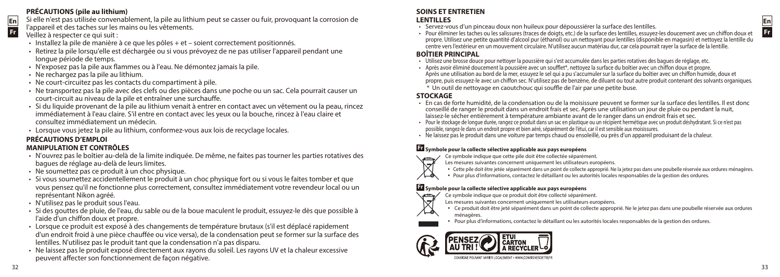#### **PRÉCAUTIONS (pile au lithium)**

Si elle n'est pas utilisée convenablement, la pile au lithium peut se casser ou fuir, provoquant la corrosion de

# l'appareil et des taches sur les mains ou les vêtements.

#### Veillez à respecter ce qui suit :

- Installez la pile de manière à ce que les pôles + et soient correctement positionnés.
- • Retirez la pile lorsqu'elle est déchargée ou si vous prévoyez de ne pas utiliser l'appareil pendant une longue période de temps.
- • N'exposez pas la pile aux flammes ou à l'eau. Ne démontez jamais la pile.
- • Ne rechargez pas la pile au lithium.
- Ne court-circuitez pas les contacts du compartiment à pile.
- • Ne transportez pas la pile avec des clefs ou des pièces dans une poche ou un sac. Cela pourrait causer un court-circuit au niveau de la pile et entraîner une surchauffe.
- • Si du liquide provenant de la pile au lithium venait à entrer en contact avec un vêtement ou la peau, rincez immédiatement à l'eau claire. S'il entre en contact avec les yeux ou la bouche, rincez à l'eau claire et consultez immédiatement un médecin.
- • Lorsque vous jetez la pile au lithium, conformez-vous aux lois de recyclage locales.

#### **PRÉCAUTIONS D'EMPLOI MANIPULATION ET CONTRÔLES**

- • N'ouvrez pas le boîtier au-delà de la limite indiquée. De même, ne faites pas tourner les parties rotatives des bagues de réglage au-delà de leurs limites.
- Ne soumettez pas ce produit à un choc physique.
- • Si vous soumettez accidentellement le produit à un choc physique fort ou si vous le faites tomber et que vous pensez qu'il ne fonctionne plus correctement, consultez immédiatement votre revendeur local ou un représentant Nikon agréé.
- • N'utilisez pas le produit sous l'eau.
- • Si des gouttes de pluie, de l'eau, du sable ou de la boue maculent le produit, essuyez-le dès que possible à l'aide d'un chiffon doux et propre.
- • Lorsque ce produit est exposé à des changements de température brutaux (s'il est déplacé rapidement d'un endroit froid à une pièce chauffée ou vice versa), de la condensation peut se former sur la surface des lentilles. N'utilisez pas le produit tant que la condensation n'a pas disparu.
- • Ne laissez pas le produit exposé directement aux rayons du soleil. Les rayons UV et la chaleur excessive peuvent affecter son fonctionnement de façon négative.

#### **SOINS ET ENTRETIEN LENTILLES**

- 
- · Servez-vous d'un pinceau doux non huileux pour dépoussiérer la surface des lentilles.<br>· Pour éliminer les taches ou les salissures (traces de doigts, etc.) de la surface des lentilles, essuyez-les doucement avec un chiff propre. Utilisez une petite quantité d'alcool pur (éthanol) ou un nettoyant pour lentilles (disponible en magasin) et nettoyez la lentille du centre vers l'extérieur en un mouvement circulaire. N'utilisez aucun matériau dur, car cela pourrait rayer la surface de la lentille.

- **BOÎTIER PRINCIPAL**<br>• Utilisez une brosse douce pour nettover la poussière qui s'est accumulée dans les parties rotatives des baques de réglage, etc.
- Après avoir éliminé doucement la poussière avec un soufflet\*, nettoyez la surface du boîtier avec un chiffon doux et propre.<br>Après avoir éliminé doucement la poussière avec un soufflet\*, nettoyez la surface du boîtier avec propre, puis essuyez-le avec un chiffon sec. N'utilisez pas de benzène, de diluant ou tout autre produit contenant des solvants organiques. \* Un outil de nettoyage en caoutchouc qui souffle de l'air par une petite buse.

# **STOCKAGE**

- En cas de forte humidité, de la condensation ou de la moisissure peuvent se former sur la surface des lentilles. Il est donc conseillé de ranger le produit dans un endroit frais et sec. Après une utilisation un jour de pluie ou pendant la nuit, laissez-le sécher entièrement à température ambiante avant de le ranger dans un endroit frais et sec.
- · Pour le stockage de longue durée, rangez ce produit dans un sac en plastique ou un récipient hermétique avec un produit déshydratant. Si ce n'est pas possible, rangez-le dans un endroit propre et bien aéré, séparément de l'étui, car il est sensible aux moisissures.
- • Ne laissez pas le produit dans une voiture par temps chaud ou ensoleillé, ou près d'un appareil produisant de la chaleur.

# **Fr Symbole pour la collecte sélective applicable aux pays européens**

- Ce symbole indique que cette pile doit être collectée séparément.  $\overline{\nabla}$ 
	- Les mesures suivantes concernent uniquement les utilisateurs européens.
	- • Cette pile doit être jetée séparément dans un point de collecte approprié. Ne la jetez pas dans une poubelle réservée aux ordures ménagères.
- ↿⇘ • Pour plus d'informations, contactez le détaillant ou les autorités locales responsables de la gestion des ordures.

#### **Fr Symbole pour la collecte sélective applicable aux pays européens**

- Ce symbole indique que ce produit doit être collecté séparément.  $\sim$ 
	- Les mesures suivantes concernent uniquement les utilisateurs européens.
	- • Ce produit doit être jeté séparément dans un point de collecte approprié. Ne le jetez pas dans une poubelle réservée aux ordures ménagères.
	- • Pour plus d'informations, contactez le détaillant ou les autorités locales responsables de la gestion des ordures.

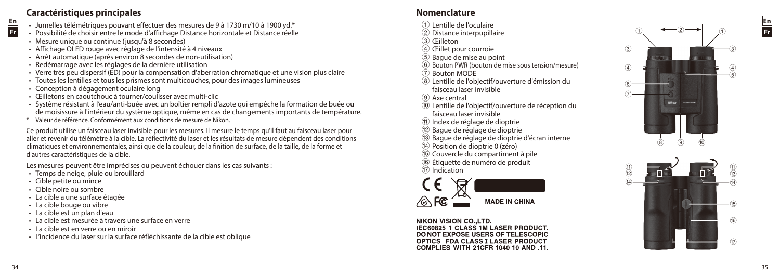# **En**

**Fr**

# **Caractéristiques principales**

- Jumelles télémétriques pouvant effectuer des mesures de 9 à 1730 m/10 à 1900 vd.\*
- Possibilité de choisir entre le mode d'affichage Distance horizontale et Distance réelle
- Mesure unique ou continue (jusqu'à 8 secondes)
- Affichage OLED rouge avec réglage de l'intensité à 4 niveaux
- Arrêt automatique (après environ 8 secondes de non-utilisation)
- • Redémarrage avec les réglages de la dernière utilisation
- • Verre très peu dispersif (ED) pour la compensation d'aberration chromatique et une vision plus claire
- Toutes les lentilles et tous les prismes sont multicouches, pour des images lumineuses
- • Conception à dégagement oculaire long
- Œilletons en caoutchouc à tourner/coulisser avec multi-clic
- • Système résistant à l'eau/anti-buée avec un boîtier rempli d'azote qui empêche la formation de buée ou de moisissure à l'intérieur du système optique, même en cas de changements importants de température.
- \* Valeur de référence. Conformément aux conditions de mesure de Nikon.

Ce produit utilise un faisceau laser invisible pour les mesures. Il mesure le temps qu'il faut au faisceau laser pour aller et revenir du télémètre à la cible. La réflectivité du laser et les résultats de mesure dépendent des conditions climatiques et environnementales, ainsi que de la couleur, de la finition de surface, de la taille, de la forme et d'autres caractéristiques de la cible.

Les mesures peuvent être imprécises ou peuvent échouer dans les cas suivants :

- Temps de neige, pluie ou brouillard
- • Cible petite ou mince
- • Cible noire ou sombre
- • La cible a une surface étagée
- • La cible bouge ou vibre
- • La cible est un plan d'eau
- • La cible est mesurée à travers une surface en verre
- • La cible est en verre ou en miroir
- • L'incidence du laser sur la surface réfléchissante de la cible est oblique

# **Nomenclature**

- 
- 
- 
- 
- 
- 1 Lentille de l'oculaire<br>
2 Distance interpupillaire<br>
3 Œilleton<br>
4 Œillet pour courroie<br>
5 Bague de mise au point<br>
6 Bouton PWR (bouton de mise sous tension/mesure)<br>
7 Bouton MODE<br>
8 Lentille de l'objectif/ouverture d'ém
- 
- faisceau laser invisible
- 
- <sup>(10</sup> Lentille de l'objectif/ouverture de réception du faisceau laser invisible
- a Index de réglage de dioptrie
- 
- $\widehat{D}$  Bague de réglage de dioptrie<br>  $\widehat{D}$  Bague de réglage de dioptrie d'écran interne<br>  $\widehat{D}$  Position de dioptrie 0 (zéro)<br>  $\widehat{D}$  Citquette de numéro de produit<br>  $\widehat{D}$  Indication
- 
- 
- 
- 



NIKON VISION CO. LTD IEC60825-1 CLASS 1M LASER PRODUCT. DONOT EXPOSE USERS OF TELESCOPIC OPTICS. FDA CLASS I LASER PRODUCT. COMPLIES WITH 21CER 1040 10 AND 11



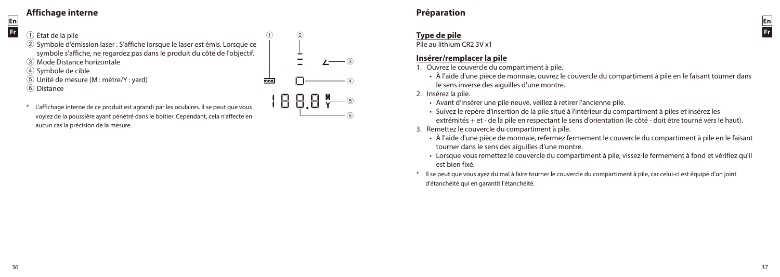# **Affichage interne**

**En Fr**

 État de la pile Symbole d'émission laser : S'affiche lorsque le laser est émis. Lorsque ce symbole s'affiche, ne regardez pas dans le produit du côté de l'objectif. Mode Distance horizontale Symbole de cible Unité de mesure (M : mètre/Y : yard) FEE 6 Distance

 $(1)$   $(2)$ 

1888 Y

3

 $^{\rm (4)}$ 

 $\circleds$ 6

L'affichage interne de ce produit est agrandi par les oculaires. Il se peut que vous voyiez de la poussière ayant pénétré dans le boîtier. Cependant, cela n'affecte en aucun cas la précision de la mesure.

# **Préparation**

# **Type de pile**

Pile au lithium CR2 3V x1

# **Insérer/remplacer la pile**

- 1. Ouvrez le couvercle du compartiment à pile.
	- • À l'aide d'une pièce de monnaie, ouvrez le couvercle du compartiment à pile en le faisant tourner dans le sens inverse des aiguilles d'une montre.

2. Insérez la pile.

- • Avant d'insérer une pile neuve, veillez à retirer l'ancienne pile.
- • Suivez le repère d'insertion de la pile situé à l'intérieur du compartiment à piles et insérez les extrémités + et - de la pile en respectant le sens d'orientation (le côté - doit être tourné vers le haut).
- 3. Remettez le couvercle du compartiment à pile.
	- • À l'aide d'une pièce de monnaie, refermez fermement le couvercle du compartiment à pile en le faisant tourner dans le sens des aiguilles d'une montre.
	- • Lorsque vous remettez le couvercle du compartiment à pile, vissez-le fermement à fond et vérifiez qu'il est bien fixé.
- Il se peut que vous ayez du mal à faire tourner le couvercle du compartiment à pile, car celui-ci est équipé d'un joint d'étanchéité qui en garantit l'étanchéité.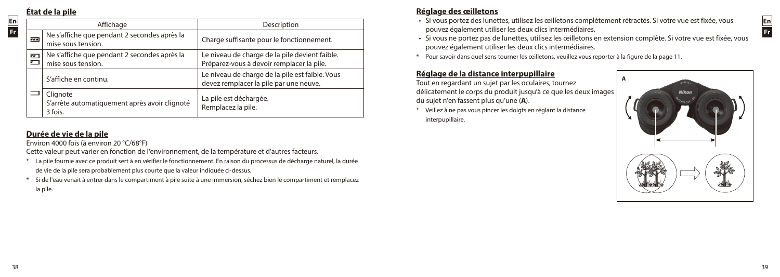# **État de la pile**

**En Fr**

| Affichage          |                                                                      | Description                                                                                 |  |
|--------------------|----------------------------------------------------------------------|---------------------------------------------------------------------------------------------|--|
| 7.7.4              | Ne s'affiche que pendant 2 secondes après la<br>mise sous tension.   | Charge suffisante pour le fonctionnement.                                                   |  |
| $\frac{1}{2}$<br>▭ | Ne s'affiche que pendant 2 secondes après la<br>mise sous tension.   | Le niveau de charge de la pile devient faible.<br>Préparez-vous à devoir remplacer la pile. |  |
|                    | S'affiche en continu.                                                | Le niveau de charge de la pile est faible. Vous<br>devez remplacer la pile par une neuve.   |  |
|                    | Clignote<br>S'arrête automatiquement après avoir clignoté<br>3 fois. | La pile est déchargée.<br>Remplacez la pile.                                                |  |

# **Durée de vie de la pile**

Environ 4000 fois (à environ 20 °C/68°F)

Cette valeur peut varier en fonction de l'environnement, de la température et d'autres facteurs.

- \* La pile fournie avec ce produit sert à en vérifier le fonctionnement. En raison du processus de décharge naturel, la durée de vie de la pile sera probablement plus courte que la valeur indiquée ci-dessus.
- \* Si de l'eau venait à entrer dans le compartiment à pile suite à une immersion, séchez bien le compartiment et remplacez la pile.

# **Réglage des œilletons**

- • Si vous portez des lunettes, utilisez les œilletons complètement rétractés. Si votre vue est fixée, vous pouvez également utiliser les deux clics intermédiaires.
- • Si vous ne portez pas de lunettes, utilisez les œilletons en extension complète. Si votre vue est fixée, vous pouvez également utiliser les deux clics intermédiaires.
- \* Pour savoir dans quel sens tourner les œilletons, veuillez vous reporter à la figure de la page 11.

# **Réglage de la distance interpupillaire**

Tout en regardant un sujet par les oculaires, tournez délicatement le corps du produit jusqu'à ce que les deux images du sujet n'en fassent plus qu'une (**A**).

\* Veillez à ne pas vous pincer les doigts en réglant la distance interpupillaire.



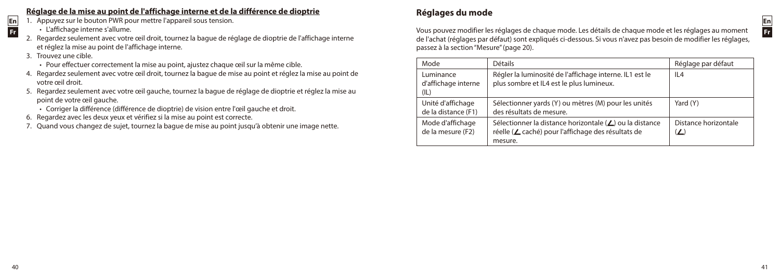# **Réglage de la mise au point de l'affichage interne et de la différence de dioptrie**

- 1. Appuyez sur le bouton PWR pour mettre l'appareil sous tension.
	- • L'affichage interne s'allume.
- 2. Regardez seulement avec votre œil droit, tournez la bague de réglage de dioptrie de l'affichage interne et réglez la mise au point de l'affichage interne.
- 3. Trouvez une cible.

**En Fr**

- Pour effectuer correctement la mise au point, ajustez chaque œil sur la même cible.
- 4. Regardez seulement avec votre œil droit, tournez la bague de mise au point et réglez la mise au point de votre œil droit.
- 5. Regardez seulement avec votre œil gauche, tournez la bague de réglage de dioptrie et réglez la mise au point de votre œil gauche.
	- • Corriger la différence (différence de dioptrie) de vision entre l'œil gauche et droit.
- 6. Regardez avec les deux yeux et vérifiez si la mise au point est correcte.
- 7. Quand vous changez de sujet, tournez la bague de mise au point jusqu'à obtenir une image nette.

# **Réglages du mode**

**En Fr**

Vous pouvez modifier les réglages de chaque mode. Les détails de chaque mode et les réglages au moment de l'achat (réglages par défaut) sont expliqués ci-dessous. Si vous n'avez pas besoin de modifier les réglages, passez à la section "Mesure" (page 20).

| Mode                                     | <b>Détails</b>                                                                                                           | Réglage par défaut                |
|------------------------------------------|--------------------------------------------------------------------------------------------------------------------------|-----------------------------------|
| Luminance<br>d'affichage interne<br>(IL) | Régler la luminosité de l'affichage interne. IL1 est le<br>plus sombre et IL4 est le plus lumineux.                      | II4                               |
| Unité d'affichage<br>de la distance (F1) | Sélectionner yards (Y) ou mètres (M) pour les unités<br>des résultats de mesure.                                         | Yard (Y)                          |
| Mode d'affichage<br>de la mesure (F2)    | Sélectionner la distance horizontale (∠) ou la distance<br>réelle (∠ caché) pour l'affichage des résultats de<br>mesure. | Distance horizontale<br>$(\angle$ |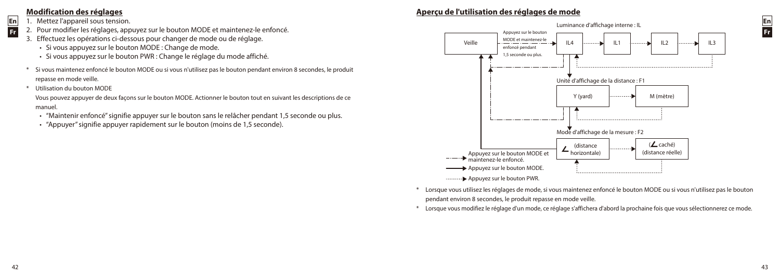# **Modification des réglages**

- 1. Mettez l'appareil sous tension.
- 2. Pour modifier les réglages, appuyez sur le bouton MODE et maintenez-le enfoncé.
- 3. Effectuez les opérations ci-dessous pour changer de mode ou de réglage.
	- Si vous appuyez sur le bouton MODE : Change de mode.
	- • Si vous appuyez sur le bouton PWR : Change le réglage du mode affiché.
- \* Si vous maintenez enfoncé le bouton MODE ou si vous n'utilisez pas le bouton pendant environ 8 secondes, le produit repasse en mode veille.
- \* Utilisation du bouton MODE

Vous pouvez appuyer de deux façons sur le bouton MODE. Actionner le bouton tout en suivant les descriptions de ce manuel.

- • "Maintenir enfoncé" signifie appuyer sur le bouton sans le relâcher pendant 1,5 seconde ou plus.
- "Appuyer" signifie appuyer rapidement sur le bouton (moins de 1.5 seconde).

# **Aperçu de l'utilisation des réglages de mode**



- Lorsque vous utilisez les réglages de mode, si vous maintenez enfoncé le bouton MODE ou si vous n'utilisez pas le bouton pendant environ 8 secondes, le produit repasse en mode veille.
- \* Lorsque vous modifiez le réglage d'un mode, ce réglage s'affichera d'abord la prochaine fois que vous sélectionnerez ce mode.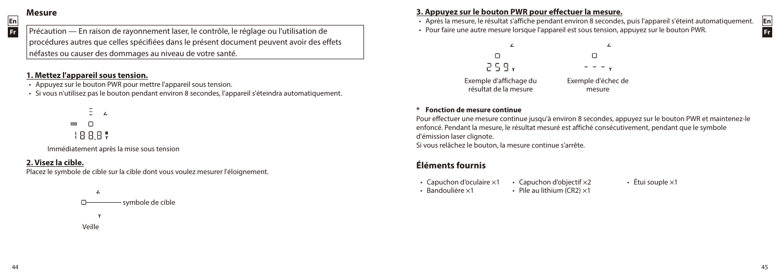# **Mesure**

**En Fr**

Précaution — En raison de rayonnement laser, le contrôle, le réglage ou l'utilisation de procédures autres que celles spécifiées dans le présent document peuvent avoir des effets néfastes ou causer des dommages au niveau de votre santé.

#### **1. Mettez l'appareil sous tension.**

- Appuyez sur le bouton PWR pour mettre l'appareil sous tension.
- • Si vous n'utilisez pas le bouton pendant environ 8 secondes, l'appareil s'éteindra automatiquement.

 $\overline{1}$  $\Box$ 1888%

Immédiatement après la mise sous tension

#### **2. Visez la cible.**

Placez le symbole de cible sur la cible dont vous voulez mesurer l'éloignement.



**3. Appuyez sur le bouton PWR pour effectuer la mesure.**

- • Après la mesure, le résultat s'affiche pendant environ 8 secondes, puis l'appareil s'éteint automatiquement.
- • Pour faire une autre mesure lorsque l'appareil est sous tension, appuyez sur le bouton PWR.



#### **\* Fonction de mesure continue**

Pour effectuer une mesure continue jusqu'à environ 8 secondes, appuyez sur le bouton PWR et maintenez-le enfoncé. Pendant la mesure, le résultat mesuré est affiché consécutivement, pendant que le symbole d'émission laser clignote.

Si vous relâchez le bouton, la mesure continue s'arrête.

# **Éléments fournis**

- 
- Capuchon d'oculaire  $\times 1$  Capuchon d'objectif  $\times 2$  Étui souple  $\times 1$ <br>• Bandoulière  $\times 1$  Pile au lithium (CR2)  $\times 1$ • Pile au lithium (CR2)  $\times$ 1

44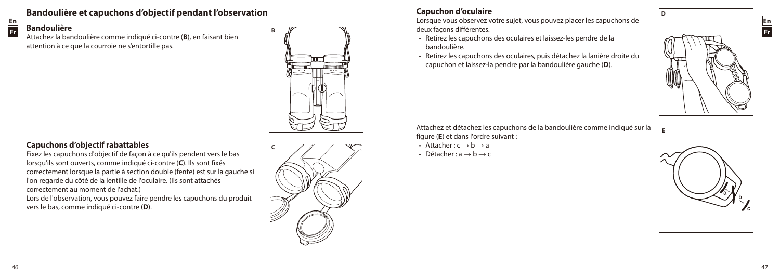

# **Bandoulière et capuchons d'objectif pendant l'observation**

# **Bandoulière**

Attachez la bandoulière comme indiqué ci-contre (**B**), en faisant bien attention à ce que la courroie ne s'entortille pas.



# **Capuchons d'objectif rabattables**

Fixez les capuchons d'objectif de façon à ce qu'ils pendent vers le bas lorsqu'ils sont ouverts, comme indiqué ci-contre (**C**). Ils sont fixés correctement lorsque la partie à section double (fente) est sur la gauche si l'on regarde du côté de la lentille de l'oculaire. (Ils sont attachés correctement au moment de l'achat.) Lors de l'observation, vous pouvez faire pendre les capuchons du produit

vers le bas, comme indiqué ci-contre (**D**).

# **C**

# **Capuchon d'oculaire**

Lorsque vous observez votre sujet, vous pouvez placer les capuchons de deux façons différentes.

- • Retirez les capuchons des oculaires et laissez-les pendre de la bandoulière.
- • Retirez les capuchons des oculaires, puis détachez la lanière droite du capuchon et laissez-la pendre par la bandoulière gauche (**D**).



**D**

Attachez et détachez les capuchons de la bandoulière comme indiqué sur la figure (**E**) et dans l'ordre suivant :

- Attacher  $: c \rightarrow b \rightarrow a$
- Détacher  $: a \rightarrow b \rightarrow c$

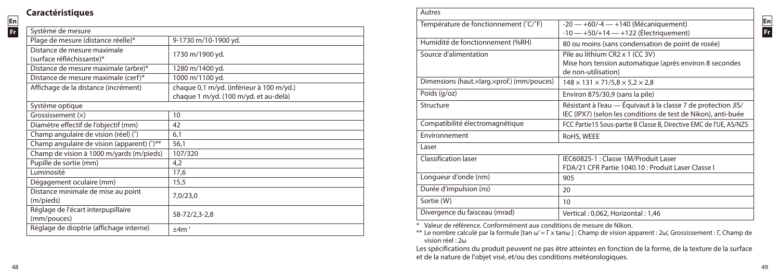# **Caractéristiques**

**En Fr**

| Système de mesure                                        |                                          |
|----------------------------------------------------------|------------------------------------------|
| Plage de mesure (distance réelle)*                       | 9-1730 m/10-1900 yd.                     |
| Distance de mesure maximale<br>(surface réfléchissante)* | 1730 m/1900 yd.                          |
| Distance de mesure maximale (arbre)*                     | 1280 m/1400 yd.                          |
| Distance de mesure maximale (cerf)*                      | 1000 m/1100 yd.                          |
| Affichage de la distance (incrément)                     | chaque 0,1 m/yd. (inférieur à 100 m/yd.) |
|                                                          | chaque 1 m/yd. (100 m/yd. et au-delà)    |
| Système optique                                          |                                          |
| Grossissement $(x)$                                      | 10                                       |
| Diamètre effectif de l'objectif (mm)                     | 42                                       |
| Champ angulaire de vision (réel) (°)                     | 6,1                                      |
| Champ angulaire de vision (apparent) (°)**               | 56,1                                     |
| Champ de vision à 1000 m/yards (m/pieds)                 | 107/320                                  |
| Pupille de sortie (mm)                                   | 4,2                                      |
| Luminosité                                               | 17,6                                     |
| Dégagement oculaire (mm)                                 | 15,5                                     |
| Distance minimale de mise au point<br>(m/pieds)          | 7,0/23,0                                 |
| Réglage de l'écart interpupillaire<br>(mm/pouces)        | 58-72/2,3-2,8                            |
| Réglage de dioptrie (affichage interne)                  | $+4m^{-1}$                               |
|                                                          |                                          |

| Autres                                     |                                                                                                                                |
|--------------------------------------------|--------------------------------------------------------------------------------------------------------------------------------|
| Température de fonctionnement (°C/°F)      | $-20 - +60/-4 - +140$ (Mécaniquement)<br>$-10 - +50/ + 14 - +122$ (Électriquement)                                             |
| Humidité de fonctionnement (%RH)           | 80 ou moins (sans condensation de point de rosée)                                                                              |
| Source d'alimentation                      | Pile au lithium CR2 x 1 (CC 3V)<br>Mise hors tension automatique (après environ 8 secondes<br>de non-utilisation)              |
| Dimensions (haut.xlarg.xprof.) (mm/pouces) | $148 \times 131 \times 71/5.8 \times 5.2 \times 2.8$                                                                           |
| Poids (g/oz)                               | Environ 875/30,9 (sans la pile)                                                                                                |
| Structure                                  | Résistant à l'eau — Équivaut à la classe 7 de protection JIS/<br>IEC (IPX7) (selon les conditions de test de Nikon), anti-buée |
| Compatibilité électromagnétique            | FCC Partie 15 Sous-partie B Classe B, Directive EMC de l'UE, AS/NZS                                                            |
| Environnement                              | RoHS, WEEE                                                                                                                     |
| Laser                                      |                                                                                                                                |
| Classification laser                       | IEC60825-1 : Classe 1M/Produit Laser<br>FDA/21 CFR Partie 1040.10 : Produit Laser Classe I                                     |
| Longueur d'onde (nm)                       | 905                                                                                                                            |
| Durée d'impulsion (ns)                     | 20                                                                                                                             |
| Sortie (W)                                 | 10                                                                                                                             |
| Divergence du faisceau (mrad)              | Vertical: 0,062, Horizontal: 1,46                                                                                              |

\* Valeur de référence. Conformément aux conditions de mesure de Nikon.

\*\* Le nombre calculé par la formule [tan ω' = Γ x tanω ] : Champ de vision apparent : 2ω', Grossissement : Γ, Champ de vision réel : 2ω

Les spécifications du produit peuvent ne pas être atteintes en fonction de la forme, de la texture de la surface et de la nature de l'objet visé, et/ou des conditions météorologiques.